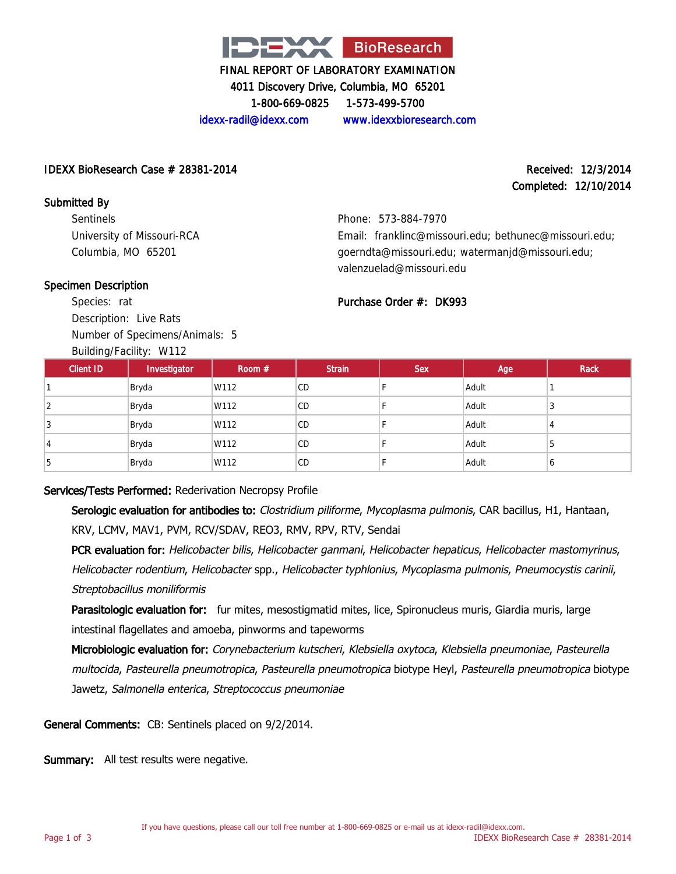

4011 Discovery Drive, Columbia, MO 65201

1-800-669-0825 1-573-499-5700

idexx-radil@idexx.com www.idexxbioresearch.com

#### IDEXX BioResearch Case  $\#$  28381-2014 Received: 12/3/2014

# Completed: 12/10/2014

Submitted By **Sentinels** University of Missouri-RCA Columbia, MO 65201

Phone: 573-884-7970 Email: franklinc@missouri.edu; bethunec@missouri.edu; goerndta@missouri.edu; watermanjd@missouri.edu; valenzuelad@missouri.edu

#### Specimen Description

Species: rat Description: Live Rats Number of Specimens/Animals: 5

Building/Facility: W112

# Purchase Order #: DK993

| Client ID | $5 - 1$<br>Investigator | Room $#$ | <b>Strain</b> | <b>Sex</b> | Age   | Rack |
|-----------|-------------------------|----------|---------------|------------|-------|------|
|           | Bryda                   | W112     | <b>CD</b>     |            | Adult |      |
| 2         | Bryda                   | W112     | CD            |            | Adult | ◡    |
|           | Bryda                   | W112     | <b>CD</b>     |            | Adult | 4    |
| 4         | Bryda                   | W112     | CD            |            | Adult | b    |
|           | Bryda                   | W112     | CD            |            | Adult | O    |

### Services/Tests Performed: Rederivation Necropsy Profile

Serologic evaluation for antibodies to: Clostridium piliforme, Mycoplasma pulmonis, CAR bacillus, H1, Hantaan, KRV, LCMV, MAV1, PVM, RCV/SDAV, REO3, RMV, RPV, RTV, Sendai

PCR evaluation for: Helicobacter bilis, Helicobacter ganmani, Helicobacter hepaticus, Helicobacter mastomyrinus, Helicobacter rodentium, Helicobacter spp., Helicobacter typhlonius, Mycoplasma pulmonis, Pneumocystis carinii, Streptobacillus moniliformis

Parasitologic evaluation for: fur mites, mesostigmatid mites, lice, Spironucleus muris, Giardia muris, large intestinal flagellates and amoeba, pinworms and tapeworms

Microbiologic evaluation for: Corynebacterium kutscheri, Klebsiella oxytoca, Klebsiella pneumoniae, Pasteurella multocida, Pasteurella pneumotropica, Pasteurella pneumotropica biotype Heyl, Pasteurella pneumotropica biotype Jawetz, Salmonella enterica, Streptococcus pneumoniae

General Comments: CB: Sentinels placed on 9/2/2014.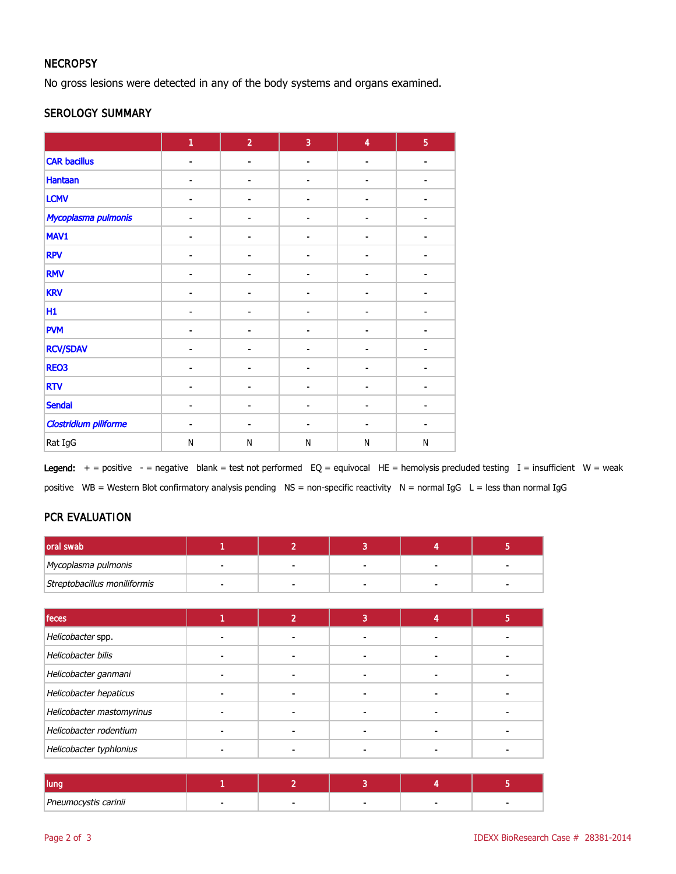### **NECROPSY**

No gross lesions were detected in any of the body systems and organs examined.

#### SEROLOGY SUMMARY

|                              | 1                        | $\overline{2}$               | $\overline{3}$               | $\overline{\mathbf{4}}$ | $\overline{5}$           |
|------------------------------|--------------------------|------------------------------|------------------------------|-------------------------|--------------------------|
| <b>CAR bacillus</b>          | $\blacksquare$           | $\blacksquare$               | -                            | $\overline{a}$          | $\overline{\phantom{a}}$ |
| <b>Hantaan</b>               |                          |                              |                              |                         |                          |
| <b>LCMV</b>                  |                          |                              |                              |                         |                          |
| Mycoplasma pulmonis          |                          |                              |                              |                         |                          |
| MAV1                         | $\blacksquare$           | -                            |                              |                         |                          |
| <b>RPV</b>                   | $\blacksquare$           | ٠                            | ä,                           | $\blacksquare$          |                          |
| <b>RMV</b>                   |                          |                              |                              |                         |                          |
| <b>KRV</b>                   |                          | $\qquad \qquad \blacksquare$ | $\qquad \qquad \blacksquare$ | $\blacksquare$          |                          |
| H1                           | $\overline{\phantom{a}}$ | ٠                            | $\blacksquare$               | ٠                       |                          |
| <b>PVM</b>                   | $\blacksquare$           | $\qquad \qquad \blacksquare$ | -                            | $\qquad \qquad$         |                          |
| <b>RCV/SDAV</b>              |                          |                              |                              |                         |                          |
| <b>REO3</b>                  |                          |                              |                              |                         |                          |
| <b>RTV</b>                   |                          |                              |                              |                         |                          |
| <b>Sendai</b>                | $\blacksquare$           | $\blacksquare$               | $\overline{\phantom{0}}$     | $\blacksquare$          |                          |
| <b>Clostridium piliforme</b> |                          | ٠                            | ä,                           | $\blacksquare$          |                          |
| Rat IgG                      | $\mathsf{N}$             | N                            | N                            | N                       | N                        |

Legend:  $+$  = positive - = negative blank = test not performed EQ = equivocal HE = hemolysis precluded testing I = insufficient W = weak positive WB = Western Blot confirmatory analysis pending NS = non-specific reactivity N = normal IgG L = less than normal IgG

### PCR EVALUATION

| oral swab                    | ٠ | $\overline{2}$           | 3              | 4 | 5 |
|------------------------------|---|--------------------------|----------------|---|---|
| Mycoplasma pulmonis          |   |                          |                |   |   |
| Streptobacillus moniliformis |   | $\overline{\phantom{0}}$ |                |   |   |
|                              |   |                          |                |   |   |
| feces                        | 1 | $\overline{2}$           | $\overline{3}$ | 4 | 5 |
| Helicobacter spp.            |   |                          |                |   |   |
| Helicobacter bilis           |   |                          |                |   |   |
| Helicobacter ganmani         |   |                          |                |   |   |
| Helicobacter hepaticus       |   |                          |                |   |   |
| Helicobacter mastomyrinus    |   |                          |                |   |   |
| Helicobacter rodentium       |   |                          |                |   |   |
| Helicobacter typhlonius      |   |                          |                |   |   |

| Pneumocystis carinii |  |  |  |
|----------------------|--|--|--|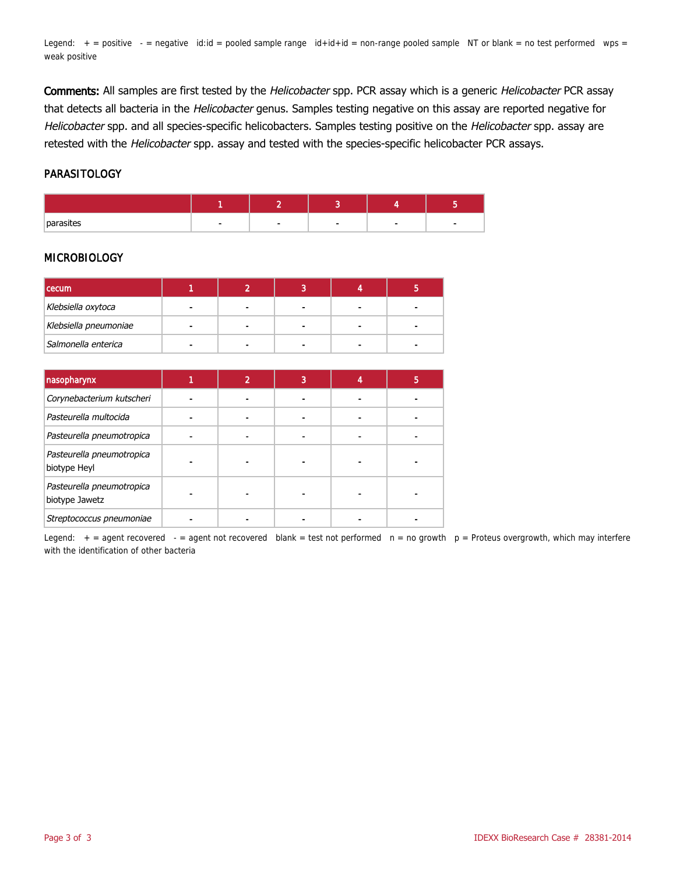Legend:  $+$  = positive  $-$  = negative id:id = pooled sample range  $id+id+id$  = non-range pooled sample NT or blank = no test performed wps = weak positive

Comments: All samples are first tested by the Helicobacter spp. PCR assay which is a generic Helicobacter PCR assay that detects all bacteria in the Helicobacter genus. Samples testing negative on this assay are reported negative for Helicobacter spp. and all species-specific helicobacters. Samples testing positive on the Helicobacter spp. assay are retested with the Helicobacter spp. assay and tested with the species-specific helicobacter PCR assays.

#### PARASITOLOGY

| nor- |  |  |  |
|------|--|--|--|

#### MICROBIOLOGY

| <b>cecum</b>          |                |                |  |
|-----------------------|----------------|----------------|--|
| Klebsiella oxytoca    |                |                |  |
| Klebsiella pneumoniae | $\blacksquare$ | $\blacksquare$ |  |
| Salmonella enterica   |                |                |  |

| nasopharynx                                 | $\overline{2}$ | 3 |  |
|---------------------------------------------|----------------|---|--|
| Corynebacterium kutscheri                   |                |   |  |
| Pasteurella multocida                       |                |   |  |
| Pasteurella pneumotropica                   |                |   |  |
| Pasteurella pneumotropica<br>biotype Heyl   |                |   |  |
| Pasteurella pneumotropica<br>biotype Jawetz |                |   |  |
| Streptococcus pneumoniae                    |                |   |  |

Legend:  $+$  = agent recovered - = agent not recovered blank = test not performed  $n = no$  growth  $p =$  Proteus overgrowth, which may interfere with the identification of other bacteria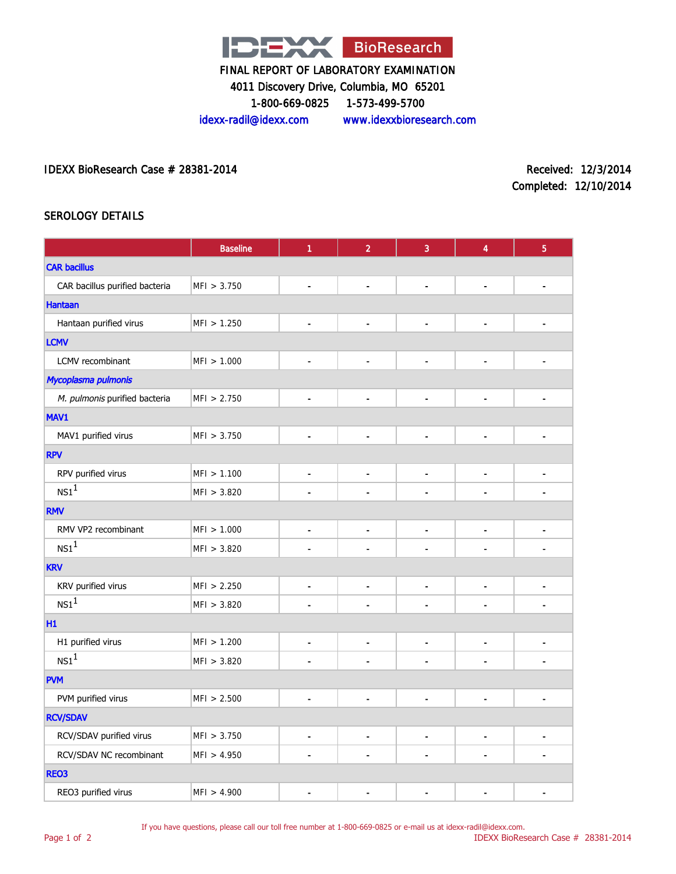

4011 Discovery Drive, Columbia, MO 65201

1-800-669-0825 1-573-499-5700

idexx-radil@idexx.com www.idexxbioresearch.com

IDEXX BioResearch Case # 28381-2014 Received: 12/3/2014

Completed: 12/10/2014

### SEROLOGY DETAILS

|                                | <b>Baseline</b> | 1                            | $\overline{2}$           | 3                            | $\overline{4}$           | $\overline{5}$               |
|--------------------------------|-----------------|------------------------------|--------------------------|------------------------------|--------------------------|------------------------------|
| <b>CAR bacillus</b>            |                 |                              |                          |                              |                          |                              |
| CAR bacillus purified bacteria | MFI > 3.750     | $\blacksquare$               | $\blacksquare$           | $\overline{\phantom{a}}$     | $\blacksquare$           | ۰                            |
| <b>Hantaan</b>                 |                 |                              |                          |                              |                          |                              |
| Hantaan purified virus         | MFI > 1.250     | $\qquad \qquad \blacksquare$ | $\blacksquare$           | $\qquad \qquad \blacksquare$ | $\blacksquare$           |                              |
| <b>LCMV</b>                    |                 |                              |                          |                              |                          |                              |
| LCMV recombinant               | MFI > 1.000     | $\blacksquare$               | $\overline{\phantom{a}}$ | $\blacksquare$               | $\blacksquare$           | $\qquad \qquad \blacksquare$ |
| Mycoplasma pulmonis            |                 |                              |                          |                              |                          |                              |
| M. pulmonis purified bacteria  | MFI > 2.750     | $\blacksquare$               | $\blacksquare$           | $\blacksquare$               | $\blacksquare$           | $\frac{1}{2}$                |
| MAV1                           |                 |                              |                          |                              |                          |                              |
| MAV1 purified virus            | MFI > 3.750     | $\blacksquare$               | $\overline{\phantom{a}}$ | $\blacksquare$               | $\blacksquare$           | $\frac{1}{2}$                |
| <b>RPV</b>                     |                 |                              |                          |                              |                          |                              |
| RPV purified virus             | MFI > 1.100     | $\qquad \qquad \blacksquare$ | $\blacksquare$           | $\blacksquare$               | $\blacksquare$           | $\frac{1}{2}$                |
| $NS1^1$                        | MFI > 3.820     |                              | $\overline{a}$           |                              | $\overline{a}$           | $\blacksquare$               |
| <b>RMV</b>                     |                 |                              |                          |                              |                          |                              |
| RMV VP2 recombinant            | MFI > 1.000     | $\blacksquare$               | $\overline{\phantom{a}}$ | $\blacksquare$               | $\overline{\phantom{a}}$ | $\frac{1}{2}$                |
| NS1 <sup>1</sup>               | MFI > 3.820     |                              |                          |                              | ÷.                       | ÷.                           |
| <b>KRV</b>                     |                 |                              |                          |                              |                          |                              |
| KRV purified virus             | MFI > 2.250     | $\blacksquare$               | $\blacksquare$           | $\qquad \qquad \blacksquare$ | $\overline{\phantom{a}}$ | -                            |
| $NS1^1$                        | MFI > 3.820     |                              | $\overline{\phantom{a}}$ |                              | $\overline{a}$           | $\overline{\phantom{0}}$     |
| H1                             |                 |                              |                          |                              |                          |                              |
| H1 purified virus              | MFI > 1.200     | $\blacksquare$               | $\blacksquare$           | $\blacksquare$               | Ĭ.                       | $\blacksquare$               |
| NS1 <sup>1</sup>               | MFI > 3.820     | $\overline{\phantom{a}}$     | $\overline{\phantom{a}}$ | $\qquad \qquad \blacksquare$ | $\overline{a}$           | $\overline{\phantom{a}}$     |
| <b>PVM</b>                     |                 |                              |                          |                              |                          |                              |
| PVM purified virus             | MFI > 2.500     | $\blacksquare$               | $\blacksquare$           | $\overline{a}$               | $\overline{a}$           | ÷,                           |
| <b>RCV/SDAV</b>                |                 |                              |                          |                              |                          |                              |
| RCV/SDAV purified virus        | MFI > 3.750     | $\blacksquare$               | $\blacksquare$           | $\blacksquare$               | $\blacksquare$           | $\qquad \qquad \blacksquare$ |
| RCV/SDAV NC recombinant        | MFI > 4.950     | ä,                           | $\blacksquare$           | $\blacksquare$               | $\blacksquare$           | $\blacksquare$               |
| REO3                           |                 |                              |                          |                              |                          |                              |
| REO3 purified virus            | MFI > 4.900     | ä,                           | $\overline{\phantom{a}}$ |                              | ÷.                       | $\blacksquare$               |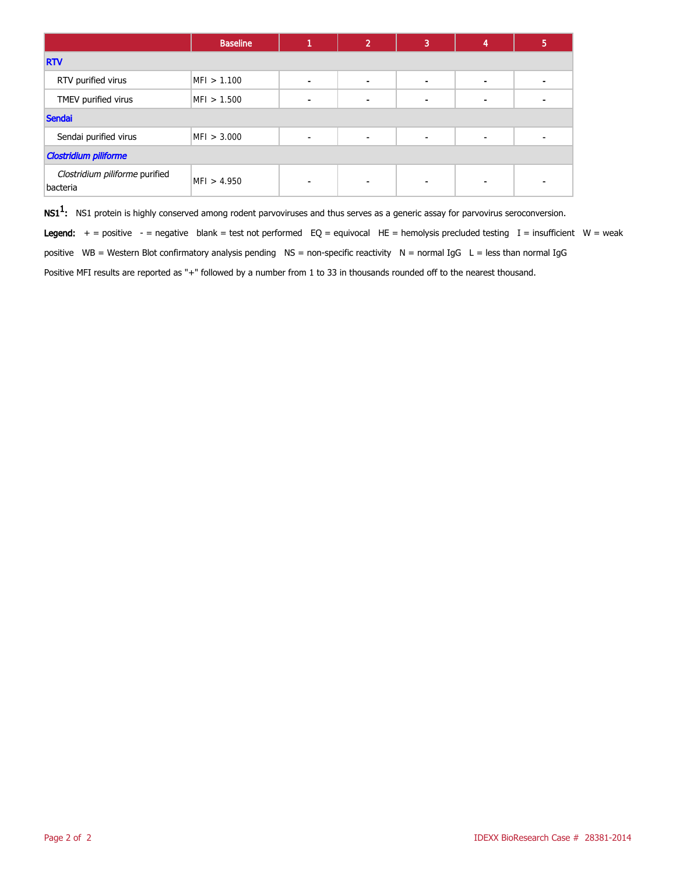|                                            | <b>Baseline</b> |                | 2              | 3              | 4                        | 5 |  |  |
|--------------------------------------------|-----------------|----------------|----------------|----------------|--------------------------|---|--|--|
| <b>RTV</b>                                 |                 |                |                |                |                          |   |  |  |
| RTV purified virus                         | MFI > 1.100     | $\blacksquare$ | $\blacksquare$ |                | $\blacksquare$           |   |  |  |
| TMEV purified virus                        | MFI > 1.500     |                |                |                | $\blacksquare$           |   |  |  |
| Sendai                                     |                 |                |                |                |                          |   |  |  |
| Sendai purified virus                      | MFI > 3.000     | $\blacksquare$ | $\blacksquare$ | $\blacksquare$ | $\blacksquare$           |   |  |  |
| <b>Clostridium piliforme</b>               |                 |                |                |                |                          |   |  |  |
| Clostridium piliforme purified<br>bacteria | MFI > 4.950     | -              |                | -              | $\overline{\phantom{a}}$ |   |  |  |

 $\mathsf{NS1^1}\text{:}$  NS1 protein is highly conserved among rodent parvoviruses and thus serves as a generic assay for parvovirus seroconversion.

Legend:  $+$  = positive  $-$  = negative blank = test not performed EQ = equivocal HE = hemolysis precluded testing I = insufficient W = weak positive WB = Western Blot confirmatory analysis pending NS = non-specific reactivity N = normal IgG L = less than normal IgG Positive MFI results are reported as "+" followed by a number from 1 to 33 in thousands rounded off to the nearest thousand.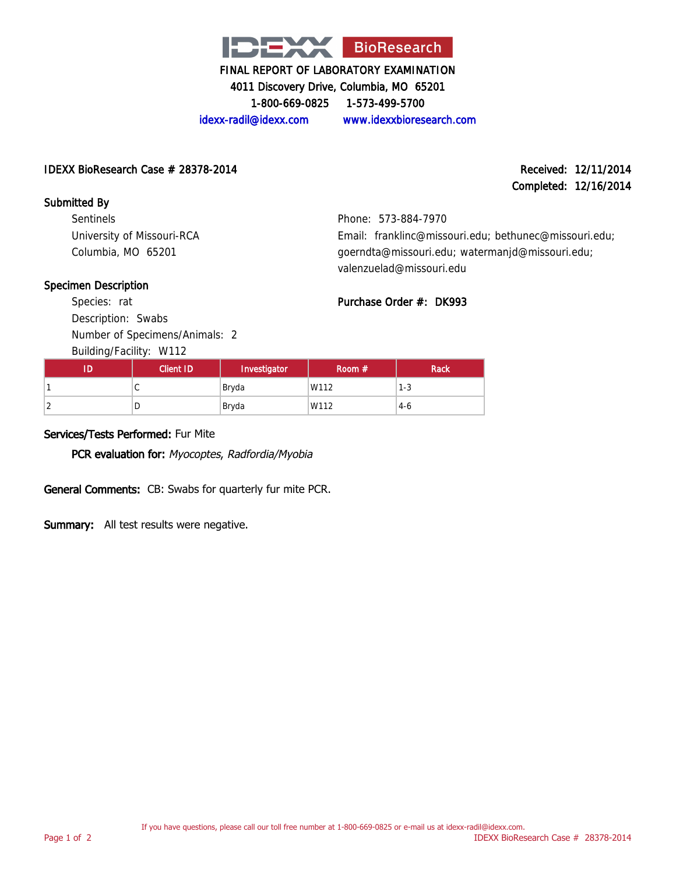

4011 Discovery Drive, Columbia, MO 65201

1-800-669-0825 1-573-499-5700

idexx-radil@idexx.com www.idexxbioresearch.com

#### IDEXX BioResearch Case # 28378-2014 Received: 12/11/2014

Completed: 12/16/2014

Submitted By Sentinels University of Missouri-RCA Columbia, MO 65201

Phone: 573-884-7970 Email: franklinc@missouri.edu; bethunec@missouri.edu; goerndta@missouri.edu; watermanjd@missouri.edu; valenzuelad@missouri.edu

### Specimen Description

Species: rat Description: Swabs Number of Specimens/Animals: 2 Building/Facility: W112

Purchase Order #: DK993

| Client ID | Investigator | Room $#$ | <b>Rack</b> |
|-----------|--------------|----------|-------------|
| ັ         | Bryda        | W112     | $1 - 3$     |
| ◡         | Bryda        | W112     | $4-6$       |

### Services/Tests Performed: Fur Mite

PCR evaluation for: Myocoptes, Radfordia/Myobia

General Comments: CB: Swabs for quarterly fur mite PCR.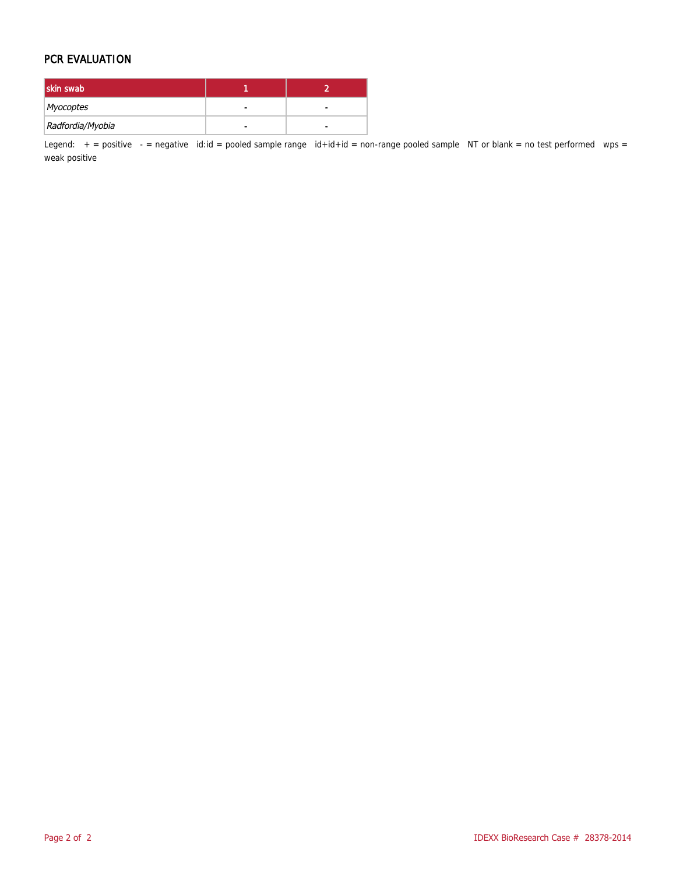#### PCR EVALUATION

| skin swab        |   |  |
|------------------|---|--|
| Myocoptes        | - |  |
| Radfordia/Myobia |   |  |

Legend:  $+$  = positive  $-$  = negative id:id = pooled sample range id+id+id = non-range pooled sample NT or blank = no test performed wps = weak positive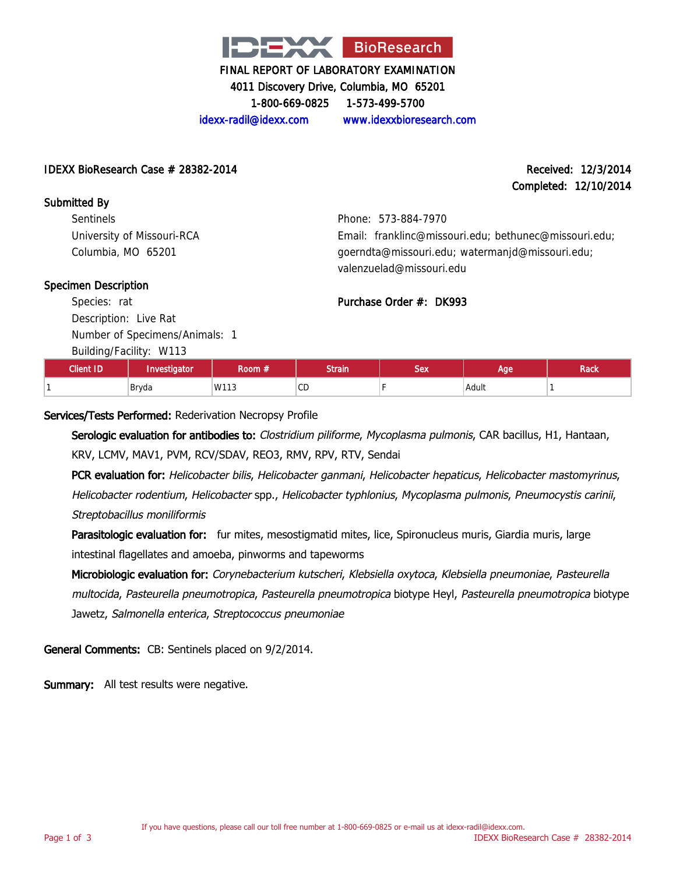

4011 Discovery Drive, Columbia, MO 65201

1-800-669-0825 1-573-499-5700

idexx-radil@idexx.com www.idexxbioresearch.com

#### IDEXX BioResearch Case  $\#$  28382-2014 Received: 12/3/2014

# Completed: 12/10/2014

Submitted By **Sentinels** University of Missouri-RCA Columbia, MO 65201

Phone: 573-884-7970 Email: franklinc@missouri.edu; bethunec@missouri.edu; goerndta@missouri.edu; watermanjd@missouri.edu; valenzuelad@missouri.edu

### Specimen Description

Species: rat Description: Live Rat Number of Specimens/Animals: 1

Building/Facility: W113

| <b>Client ID</b> | Investigator | koom #/ | Strain       | Sex | Aae   | <b>Rack</b> |
|------------------|--------------|---------|--------------|-----|-------|-------------|
|                  | Bryda        | W113    | $\cap$<br>◡◡ |     | Adult |             |

Purchase Order #: DK993

# Services/Tests Performed: Rederivation Necropsy Profile

Serologic evaluation for antibodies to: Clostridium piliforme, Mycoplasma pulmonis, CAR bacillus, H1, Hantaan, KRV, LCMV, MAV1, PVM, RCV/SDAV, REO3, RMV, RPV, RTV, Sendai

PCR evaluation for: Helicobacter bilis, Helicobacter ganmani, Helicobacter hepaticus, Helicobacter mastomyrinus, Helicobacter rodentium, Helicobacter spp., Helicobacter typhlonius, Mycoplasma pulmonis, Pneumocystis carinii, Streptobacillus moniliformis

Parasitologic evaluation for: fur mites, mesostigmatid mites, lice, Spironucleus muris, Giardia muris, large intestinal flagellates and amoeba, pinworms and tapeworms

Microbiologic evaluation for: Corynebacterium kutscheri, Klebsiella oxytoca, Klebsiella pneumoniae, Pasteurella multocida, Pasteurella pneumotropica, Pasteurella pneumotropica biotype Heyl, Pasteurella pneumotropica biotype Jawetz, Salmonella enterica, Streptococcus pneumoniae

General Comments: CB: Sentinels placed on 9/2/2014.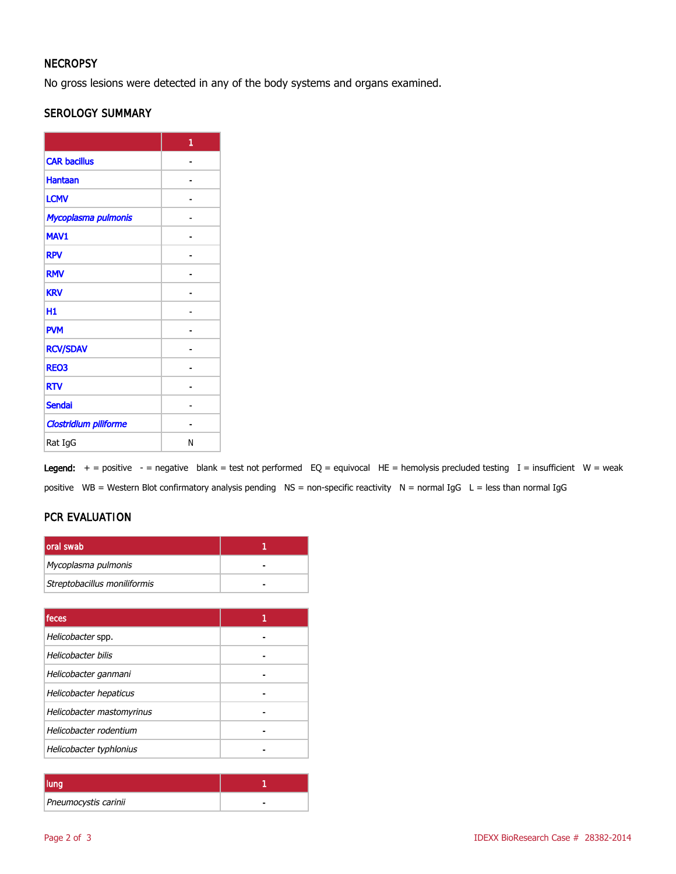# **NECROPSY**

No gross lesions were detected in any of the body systems and organs examined.

### SEROLOGY SUMMARY

|                       | 1 |
|-----------------------|---|
| <b>CAR bacillus</b>   |   |
| <b>Hantaan</b>        |   |
| <b>LCMV</b>           |   |
| Mycoplasma pulmonis   |   |
| MAV1                  |   |
| <b>RPV</b>            |   |
| <b>RMV</b>            |   |
| <b>KRV</b>            |   |
| H1                    |   |
| <b>PVM</b>            |   |
| <b>RCV/SDAV</b>       |   |
| <b>REO3</b>           |   |
| <b>RTV</b>            |   |
| <b>Sendai</b>         |   |
| Clostridium piliforme |   |
| Rat IgG               | N |

Legend:  $+$  = positive - = negative blank = test not performed EQ = equivocal HE = hemolysis precluded testing I = insufficient W = weak positive WB = Western Blot confirmatory analysis pending NS = non-specific reactivity N = normal IgG L = less than normal IgG

# PCR EVALUATION

| loral swab                   |  |
|------------------------------|--|
| Mycoplasma pulmonis          |  |
| Streptobacillus moniliformis |  |

| feces                     |  |
|---------------------------|--|
| Helicobacter spp.         |  |
| Helicobacter bilis        |  |
| Helicobacter ganmani      |  |
| Helicobacter hepaticus    |  |
| Helicobacter mastomyrinus |  |
| Helicobacter rodentium    |  |
| Helicobacter typhlonius   |  |

| lung                 |  |
|----------------------|--|
| Pneumocystis carinii |  |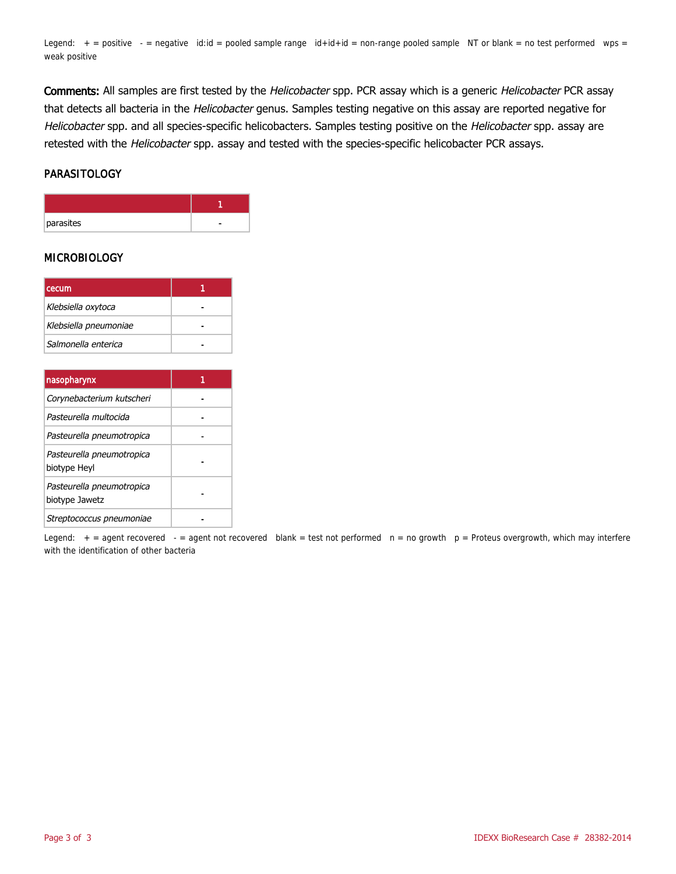Legend:  $+$  = positive  $-$  = negative id:id = pooled sample range  $id+id+id$  = non-range pooled sample NT or blank = no test performed wps = weak positive

Comments: All samples are first tested by the Helicobacter spp. PCR assay which is a generic Helicobacter PCR assay that detects all bacteria in the Helicobacter genus. Samples testing negative on this assay are reported negative for Helicobacter spp. and all species-specific helicobacters. Samples testing positive on the Helicobacter spp. assay are retested with the Helicobacter spp. assay and tested with the species-specific helicobacter PCR assays.

#### PARASITOLOGY

| parasites |  |
|-----------|--|

#### **MICROBIOLOGY**

| cecum                 |  |
|-----------------------|--|
| Klebsiella oxytoca    |  |
| Klebsiella pneumoniae |  |
| Salmonella enterica   |  |

| nasopharynx                                 |  |
|---------------------------------------------|--|
| Corynebacterium kutscheri                   |  |
| Pasteurella multocida                       |  |
| Pasteurella pneumotropica                   |  |
| Pasteurella pneumotropica<br>biotype Heyl   |  |
| Pasteurella pneumotropica<br>biotype Jawetz |  |
| Streptococcus pneumoniae                    |  |

Legend:  $+$  = agent recovered - = agent not recovered blank = test not performed  $n = no$  growth  $p =$  Proteus overgrowth, which may interfere with the identification of other bacteria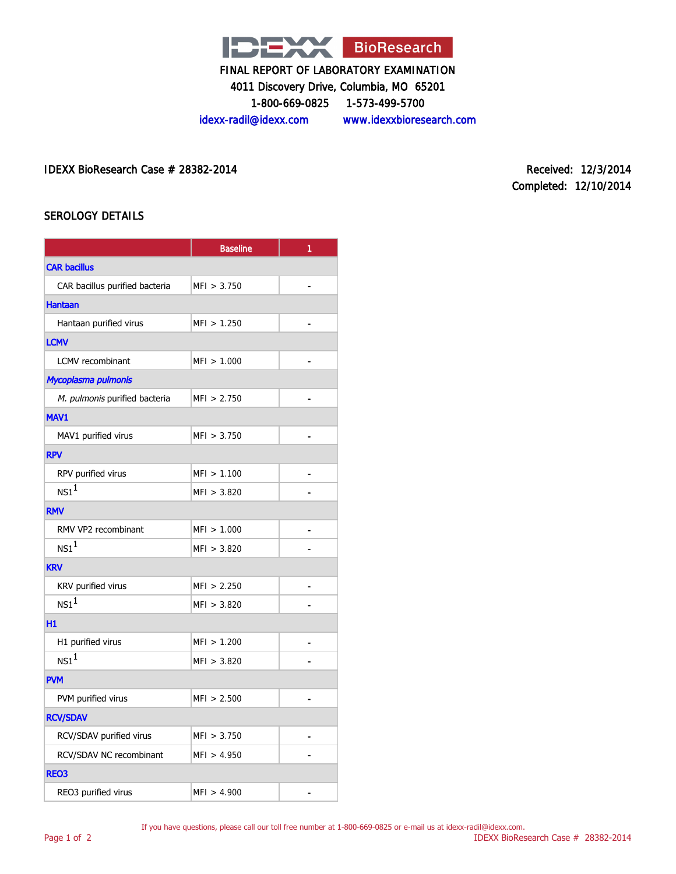

4011 Discovery Drive, Columbia, MO 65201

1-800-669-0825 1-573-499-5700

idexx-radil@idexx.com www.idexxbioresearch.com

IDEXX BioResearch Case # 28382-2014 Received: 12/3/2014

Completed: 12/10/2014

#### SEROLOGY DETAILS

|                                | <b>Baseline</b> | 1              |  |  |
|--------------------------------|-----------------|----------------|--|--|
| <b>CAR bacillus</b>            |                 |                |  |  |
| CAR bacillus purified bacteria | MFI > 3.750     | ä,             |  |  |
| <b>Hantaan</b>                 |                 |                |  |  |
| Hantaan purified virus         | MFI > 1.250     |                |  |  |
| <b>LCMV</b>                    |                 |                |  |  |
| <b>LCMV</b> recombinant        | MFI > 1.000     | ä,             |  |  |
| Mycoplasma pulmonis            |                 |                |  |  |
| M. pulmonis purified bacteria  | MF1 > 2.750     |                |  |  |
| <b>MAV1</b>                    |                 |                |  |  |
| MAV1 purified virus            | MFI > 3.750     | $\blacksquare$ |  |  |
| <b>RPV</b>                     |                 |                |  |  |
| RPV purified virus             | MFI > 1.100     |                |  |  |
| $NS1^1$                        | MF1 > 3.820     |                |  |  |
| <b>RMV</b>                     |                 |                |  |  |
| RMV VP2 recombinant            | MFI > 1.000     |                |  |  |
| NS1 <sup>1</sup>               | MFI > 3.820     |                |  |  |
| <b>KRV</b>                     |                 |                |  |  |
| KRV purified virus             | MFI > 2.250     | $\overline{a}$ |  |  |
| NS1 <sup>1</sup>               | MFI > 3.820     |                |  |  |
| H1                             |                 |                |  |  |
| H1 purified virus              | MFI > 1.200     |                |  |  |
| $NS1^1$                        | MFI > 3.820     |                |  |  |
| <b>PVM</b>                     |                 |                |  |  |
| PVM purified virus             | MFI > 2.500     |                |  |  |
| <b>RCV/SDAV</b>                |                 |                |  |  |
| RCV/SDAV purified virus        | MFI > 3.750     |                |  |  |
| RCV/SDAV NC recombinant        | MFI > 4.950     |                |  |  |
| <b>REO3</b>                    |                 |                |  |  |
| REO3 purified virus            | MFI > 4.900     |                |  |  |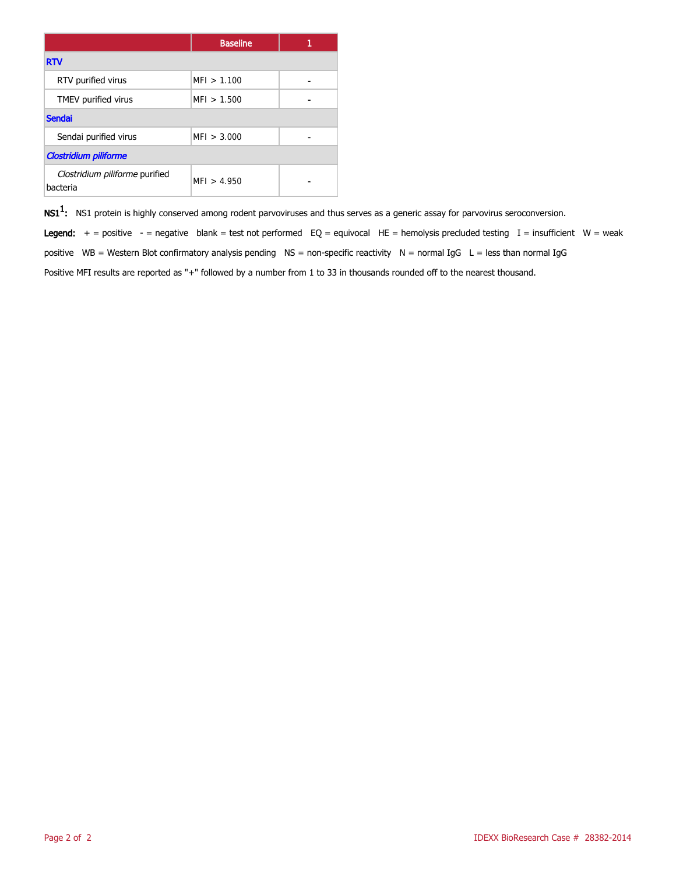|                                            | <b>Baseline</b> |  |  |  |
|--------------------------------------------|-----------------|--|--|--|
| <b>RTV</b>                                 |                 |  |  |  |
| RTV purified virus                         | MFI > 1.100     |  |  |  |
| TMEV purified virus                        | MFI > 1.500     |  |  |  |
| <b>Sendai</b>                              |                 |  |  |  |
| Sendai purified virus                      | MFI > 3.000     |  |  |  |
| <b>Clostridium piliforme</b>               |                 |  |  |  |
| Clostridium piliforme purified<br>bacteria | MFI > 4.950     |  |  |  |

 $\mathsf{NS1^1}\text{:}$  NS1 protein is highly conserved among rodent parvoviruses and thus serves as a generic assay for parvovirus seroconversion.

Legend:  $+$  = positive - = negative blank = test not performed EQ = equivocal HE = hemolysis precluded testing I = insufficient W = weak positive WB = Western Blot confirmatory analysis pending  $NS =$  non-specific reactivity  $N =$  normal IgG  $L =$  less than normal IgG Positive MFI results are reported as "+" followed by a number from 1 to 33 in thousands rounded off to the nearest thousand.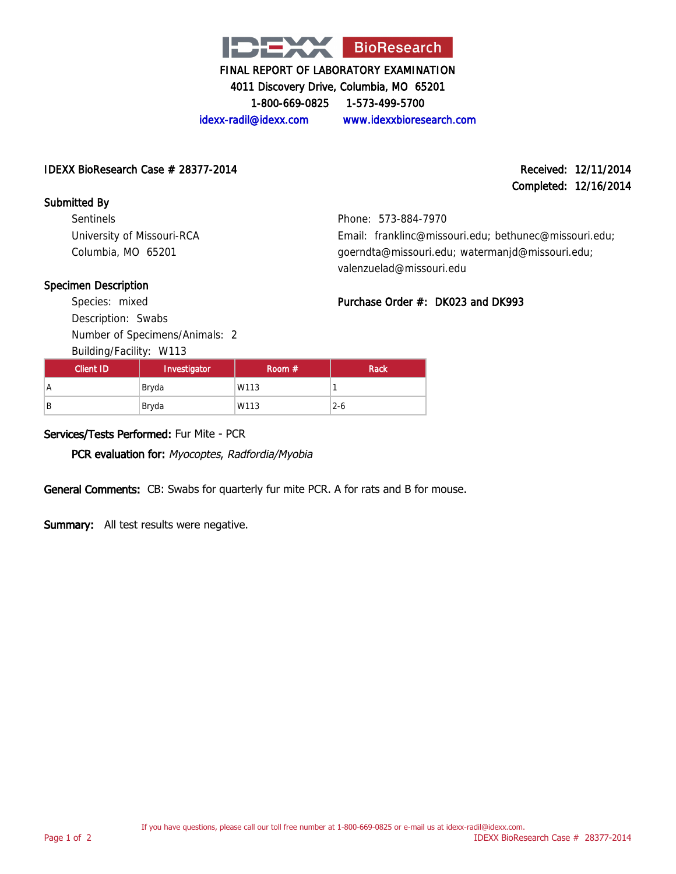

4011 Discovery Drive, Columbia, MO 65201

1-800-669-0825 1-573-499-5700

# idexx-radil@idexx.com www.idexxbioresearch.com

#### IDEXX BioResearch Case # 28377-2014 Received: 12/11/2014

# Completed: 12/16/2014

Submitted By Sentinels University of Missouri-RCA Columbia, MO 65201

Phone: 573-884-7970 Email: franklinc@missouri.edu; bethunec@missouri.edu; goerndta@missouri.edu; watermanjd@missouri.edu;

### Specimen Description

Species: mixed Description: Swabs Number of Specimens/Animals: 2

Building/Facility: W113

| valenzuelad@missouri.edu             |  |  |
|--------------------------------------|--|--|
| Purchase Order $#$ : DK023 and DK993 |  |  |

| Client ID | Investigator | Room $#$ | Rack    |
|-----------|--------------|----------|---------|
| A         | Bryda        | W113     |         |
| B         | Bryda        | W113     | $2 - 6$ |

### Services/Tests Performed: Fur Mite - PCR

PCR evaluation for: Myocoptes, Radfordia/Myobia

General Comments: CB: Swabs for quarterly fur mite PCR. A for rats and B for mouse.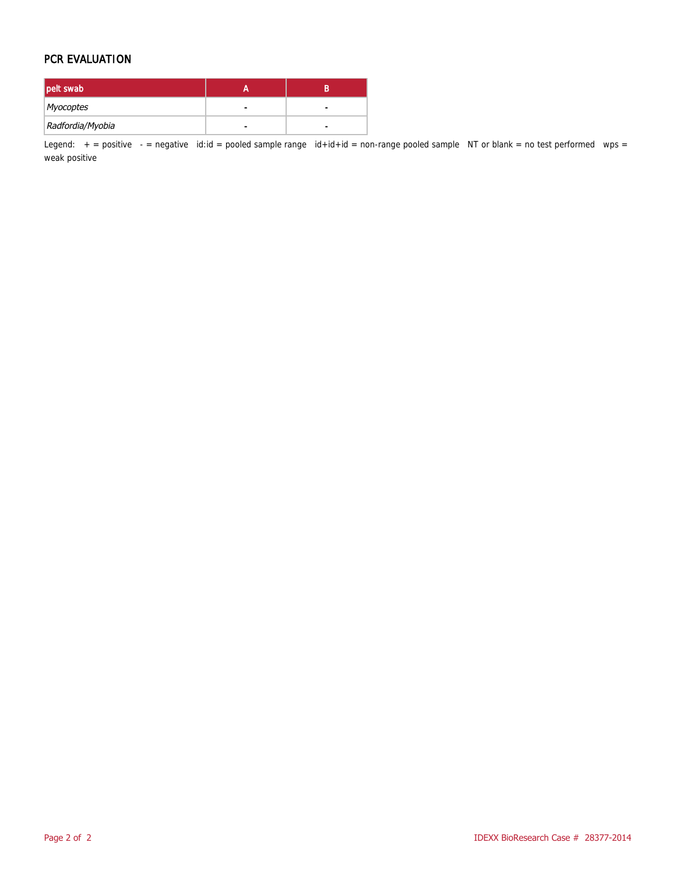#### PCR EVALUATION

| pelt swab        |   |  |
|------------------|---|--|
| Myocoptes        | - |  |
| Radfordia/Myobia |   |  |

Legend:  $+$  = positive  $-$  = negative id:id = pooled sample range id+id+id = non-range pooled sample NT or blank = no test performed wps = weak positive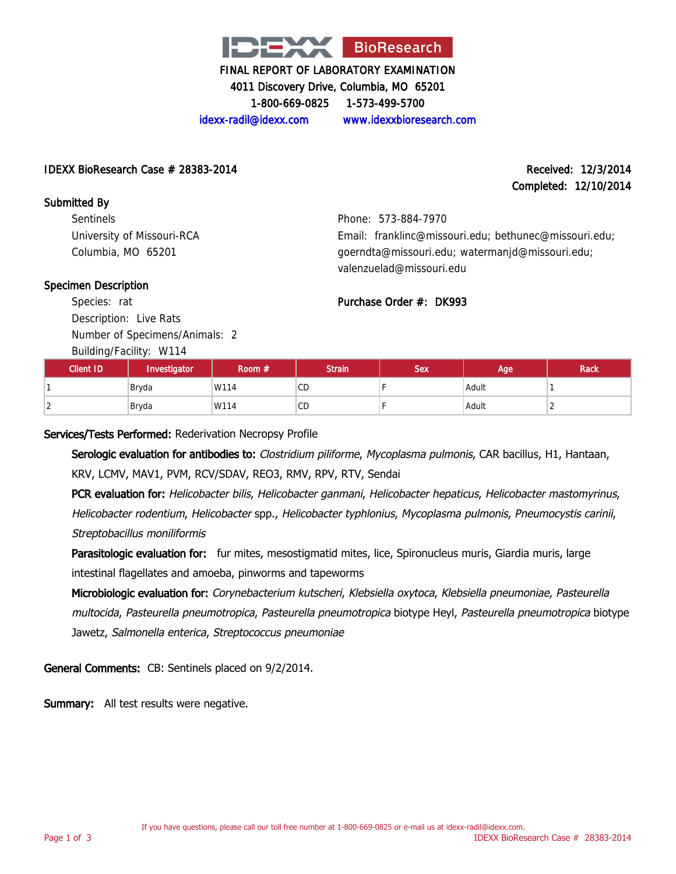

4011 Discovery Drive, Columbia, MO 65201

1-800-669-0825 1-573-499-5700

idexx-radil@idexx.com www.idexxbioresearch.com

#### IDEXX BioResearch Case  $\#$  28383-2014 Received: 12/3/2014

# Completed: 12/10/2014

Submitted By **Sentinels** University of Missouri-RCA Columbia, MO 65201

Phone: 573-884-7970 Email: franklinc@missouri.edu; bethunec@missouri.edu; goerndta@missouri.edu; watermanjd@missouri.edu; valenzuelad@missouri.edu

### Specimen Description

Species: rat Description: Live Rats Number of Specimens/Animals: 2

Building/Facility: W114

| $\cdot$<br>Client ID | Investigator | Room # | <b>Strain</b> | <b>Sex</b> | Age   | <b>Rack</b> |
|----------------------|--------------|--------|---------------|------------|-------|-------------|
|                      | Bryda        | W114   | CD            |            | Adult |             |
| $\sim$<br>∠          | Bryda        | W114   | <b>CD</b>     |            | Adult | ∸           |

Purchase Order #: DK993

Services/Tests Performed: Rederivation Necropsy Profile

Serologic evaluation for antibodies to: Clostridium piliforme, Mycoplasma pulmonis, CAR bacillus, H1, Hantaan, KRV, LCMV, MAV1, PVM, RCV/SDAV, REO3, RMV, RPV, RTV, Sendai

PCR evaluation for: Helicobacter bilis, Helicobacter ganmani, Helicobacter hepaticus, Helicobacter mastomyrinus, Helicobacter rodentium, Helicobacter spp., Helicobacter typhlonius, Mycoplasma pulmonis, Pneumocystis carinii, Streptobacillus moniliformis

Parasitologic evaluation for: fur mites, mesostigmatid mites, lice, Spironucleus muris, Giardia muris, large intestinal flagellates and amoeba, pinworms and tapeworms

Microbiologic evaluation for: Corynebacterium kutscheri, Klebsiella oxytoca, Klebsiella pneumoniae, Pasteurella multocida, Pasteurella pneumotropica, Pasteurella pneumotropica biotype Heyl, Pasteurella pneumotropica biotype Jawetz, Salmonella enterica, Streptococcus pneumoniae

General Comments: CB: Sentinels placed on 9/2/2014.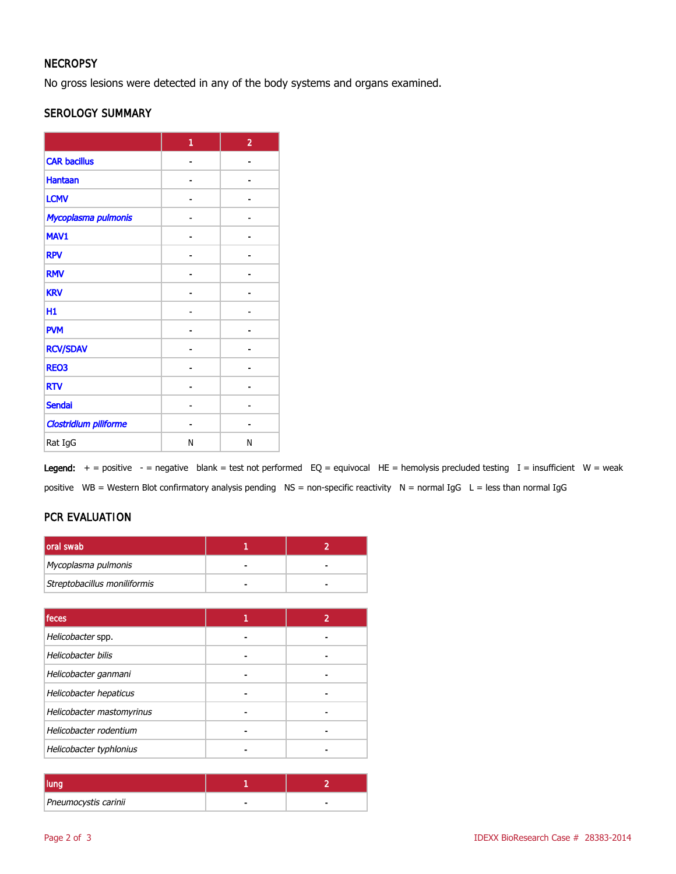# **NECROPSY**

No gross lesions were detected in any of the body systems and organs examined.

#### SEROLOGY SUMMARY

|                              | 1 | $\overline{2}$ |
|------------------------------|---|----------------|
| <b>CAR bacillus</b>          |   |                |
| <b>Hantaan</b>               |   |                |
| <b>LCMV</b>                  |   |                |
| Mycoplasma pulmonis          |   |                |
| MAV1                         |   |                |
| <b>RPV</b>                   |   |                |
| <b>RMV</b>                   |   |                |
| <b>KRV</b>                   |   |                |
| H1                           |   |                |
| <b>PVM</b>                   |   |                |
| <b>RCV/SDAV</b>              |   |                |
| <b>REO3</b>                  |   |                |
| <b>RTV</b>                   |   |                |
| <b>Sendai</b>                |   |                |
| <b>Clostridium piliforme</b> |   |                |
| Rat IgG                      | N | N              |

Legend:  $+$  = positive - = negative blank = test not performed EQ = equivocal HE = hemolysis precluded testing I = insufficient W = weak positive WB = Western Blot confirmatory analysis pending NS = non-specific reactivity N = normal IgG L = less than normal IgG

# PCR EVALUATION

| oral swab                    |  |
|------------------------------|--|
| Mycoplasma pulmonis          |  |
| Streptobacillus moniliformis |  |

| feces                     |  |
|---------------------------|--|
| Helicobacter spp.         |  |
| Helicobacter bilis        |  |
| Helicobacter ganmani      |  |
| Helicobacter hepaticus    |  |
| Helicobacter mastomyrinus |  |
| Helicobacter rodentium    |  |
| Helicobacter typhlonius   |  |

| Pneumocystis carinii |  |
|----------------------|--|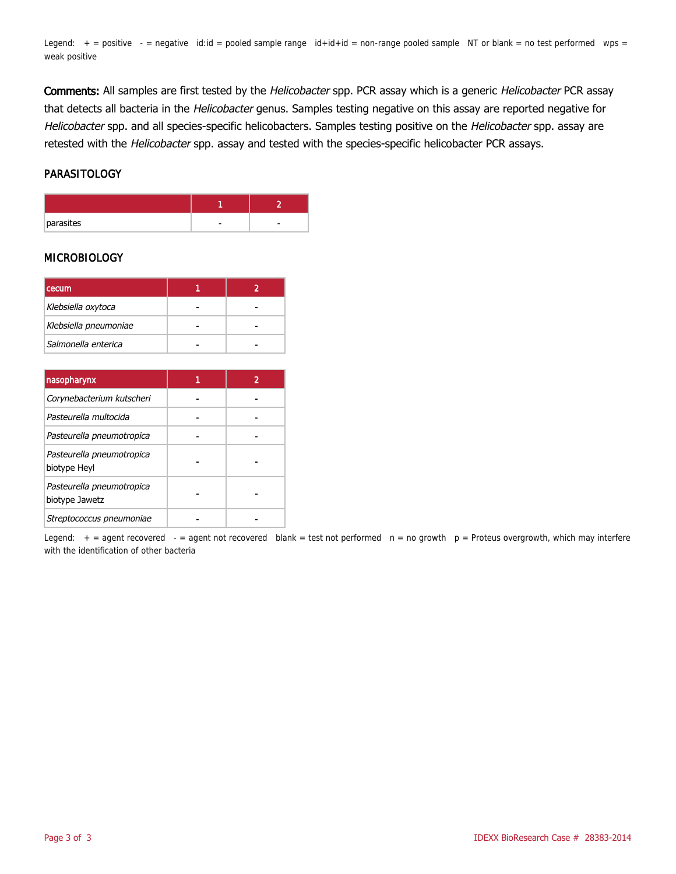Legend:  $+$  = positive  $-$  = negative id:id = pooled sample range  $id+id+id$  = non-range pooled sample NT or blank = no test performed wps = weak positive

Comments: All samples are first tested by the Helicobacter spp. PCR assay which is a generic Helicobacter PCR assay that detects all bacteria in the Helicobacter genus. Samples testing negative on this assay are reported negative for Helicobacter spp. and all species-specific helicobacters. Samples testing positive on the Helicobacter spp. assay are retested with the Helicobacter spp. assay and tested with the species-specific helicobacter PCR assays.

#### PARASITOLOGY

| parasites | ۰ |
|-----------|---|

#### **MICROBIOLOGY**

| <b>cecum</b>          |  |
|-----------------------|--|
| Klebsiella oxytoca    |  |
| Klebsiella pneumoniae |  |
| Salmonella enterica   |  |

| nasopharynx                                 |  |
|---------------------------------------------|--|
| Corynebacterium kutscheri                   |  |
| Pasteurella multocida                       |  |
| Pasteurella pneumotropica                   |  |
| Pasteurella pneumotropica<br>biotype Heyl   |  |
| Pasteurella pneumotropica<br>biotype Jawetz |  |
| Streptococcus pneumoniae                    |  |

Legend:  $+$  = agent recovered - = agent not recovered blank = test not performed  $n = no$  growth  $p =$  Proteus overgrowth, which may interfere with the identification of other bacteria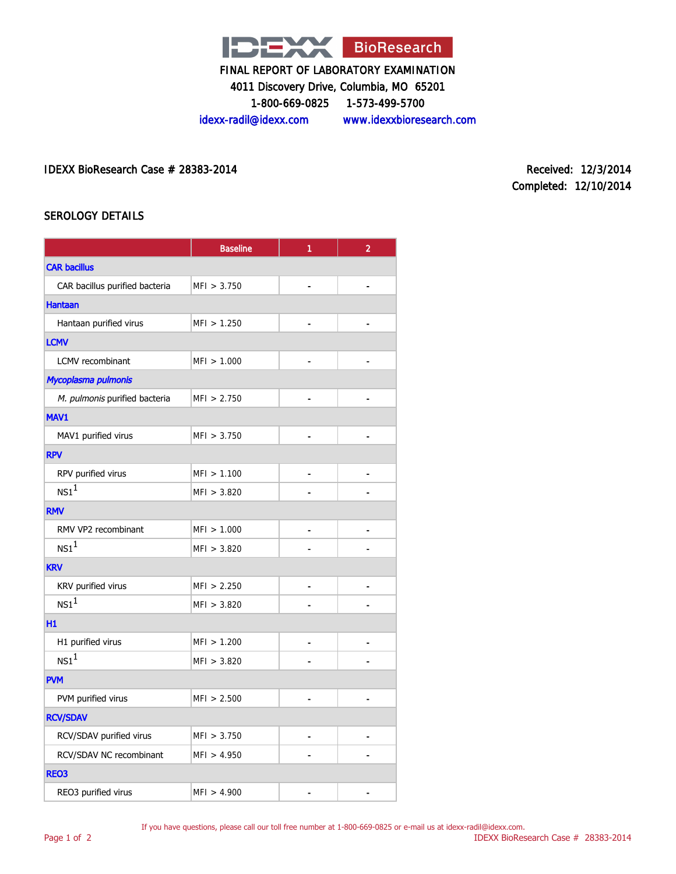

4011 Discovery Drive, Columbia, MO 65201

1-800-669-0825 1-573-499-5700

idexx-radil@idexx.com www.idexxbioresearch.com

IDEXX BioResearch Case # 28383-2014 Received: 12/3/2014

Completed: 12/10/2014

### SEROLOGY DETAILS

|                                | <b>Baseline</b> | 1              | $\overline{2}$               |  |  |
|--------------------------------|-----------------|----------------|------------------------------|--|--|
| <b>CAR bacillus</b>            |                 |                |                              |  |  |
| CAR bacillus purified bacteria | MFI > 3.750     |                |                              |  |  |
| <b>Hantaan</b>                 |                 |                |                              |  |  |
| Hantaan purified virus         | MFI > 1.250     |                |                              |  |  |
| <b>LCMV</b>                    |                 |                |                              |  |  |
| LCMV recombinant               | MFI > 1.000     |                | $\overline{a}$               |  |  |
| Mycoplasma pulmonis            |                 |                |                              |  |  |
| M. pulmonis purified bacteria  | MFI > 2.750     |                |                              |  |  |
| MAV1                           |                 |                |                              |  |  |
| MAV1 purified virus            | MFI > 3.750     |                | $\qquad \qquad \blacksquare$ |  |  |
| <b>RPV</b>                     |                 |                |                              |  |  |
| RPV purified virus             | MFI > 1.100     |                |                              |  |  |
| NS1 <sup>1</sup>               | MFI > 3.820     |                |                              |  |  |
| <b>RMV</b>                     |                 |                |                              |  |  |
| RMV VP2 recombinant            | MFI > 1.000     |                |                              |  |  |
| NS1 <sup>1</sup>               | MFI > 3.820     |                |                              |  |  |
| <b>KRV</b>                     |                 |                |                              |  |  |
| KRV purified virus             | MF1 > 2.250     | $\overline{a}$ |                              |  |  |
| NS1 <sup>1</sup>               | MFI > 3.820     |                |                              |  |  |
| H1                             |                 |                |                              |  |  |
| H1 purified virus              | MFI > 1.200     |                |                              |  |  |
| NS1 <sup>1</sup>               | MFI > 3.820     |                |                              |  |  |
| <b>PVM</b>                     |                 |                |                              |  |  |
| PVM purified virus             | MFI > 2.500     |                |                              |  |  |
| <b>RCV/SDAV</b>                |                 |                |                              |  |  |
| RCV/SDAV purified virus        | MFI > 3.750     | -              |                              |  |  |
| RCV/SDAV NC recombinant        | MF1 > 4.950     |                |                              |  |  |
| <b>REO3</b>                    |                 |                |                              |  |  |
| REO3 purified virus            | MFI > 4.900     |                |                              |  |  |

If you have questions, please call our toll free number at 1-800-669-0825 or e-mail us at idexx-radil@idexx.com.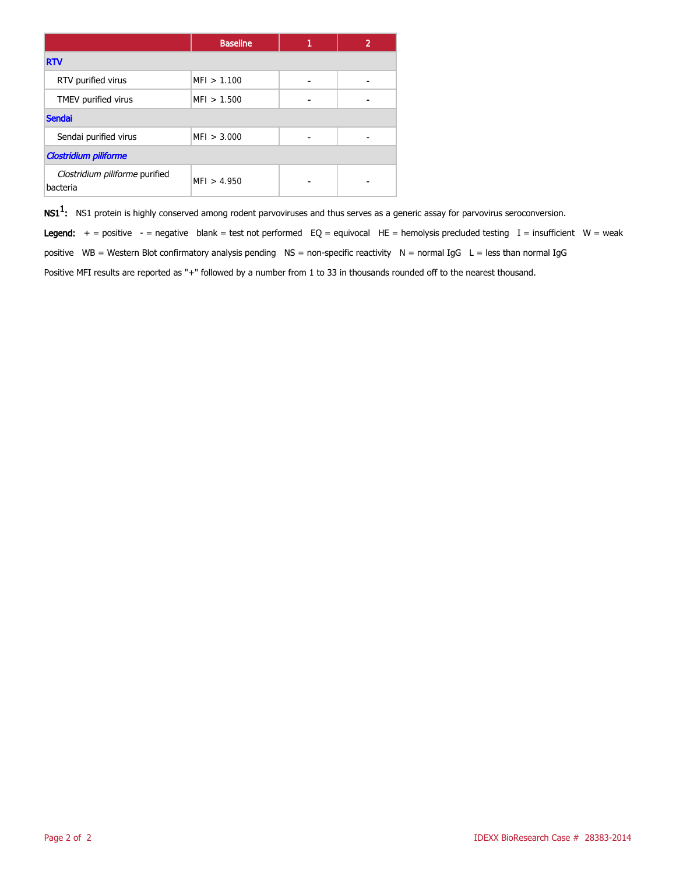|                                            | <b>Baseline</b> | 1 |  |
|--------------------------------------------|-----------------|---|--|
| <b>RTV</b>                                 |                 |   |  |
| RTV purified virus                         | MFI > 1.100     | - |  |
| TMEV purified virus                        | MFI > 1.500     | ۰ |  |
| <b>Sendai</b>                              |                 |   |  |
| Sendai purified virus                      | MFI > 3.000     |   |  |
| <b>Clostridium piliforme</b>               |                 |   |  |
| Clostridium piliforme purified<br>bacteria | MFI > 4.950     |   |  |

 $\mathsf{NS1^1}\text{:}$  NS1 protein is highly conserved among rodent parvoviruses and thus serves as a generic assay for parvovirus seroconversion.

Legend:  $+$  = positive - = negative blank = test not performed EQ = equivocal HE = hemolysis precluded testing I = insufficient W = weak positive WB = Western Blot confirmatory analysis pending  $NS =$  non-specific reactivity  $N =$  normal IgG  $L =$  less than normal IgG Positive MFI results are reported as "+" followed by a number from 1 to 33 in thousands rounded off to the nearest thousand.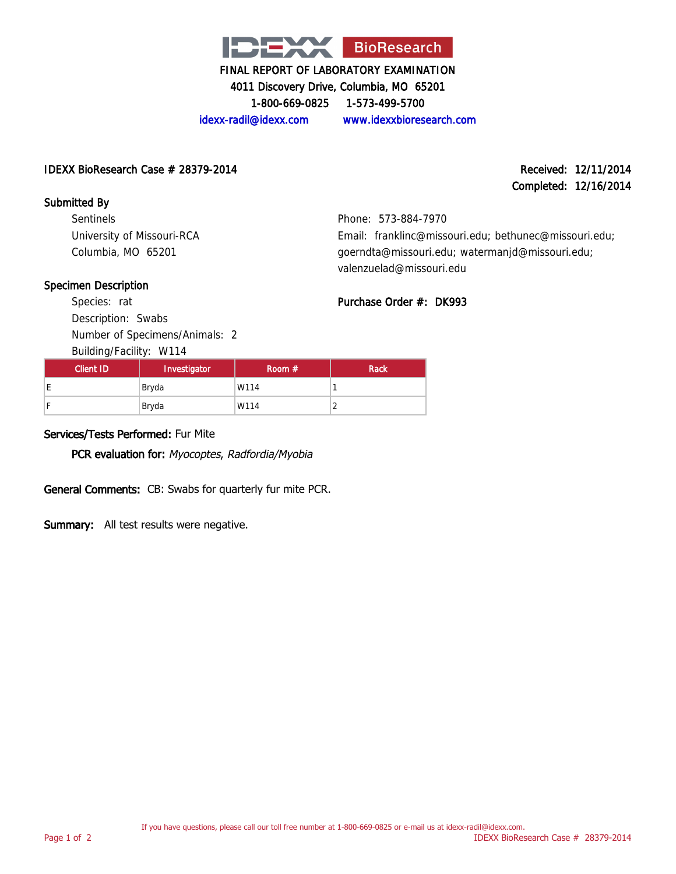

4011 Discovery Drive, Columbia, MO 65201

1-800-669-0825 1-573-499-5700

idexx-radil@idexx.com www.idexxbioresearch.com

### IDEXX BioResearch Case # 28379-2014 Received: 12/11/2014

# Completed: 12/16/2014

Submitted By Sentinels University of Missouri-RCA Columbia, MO 65201

Phone: 573-884-7970 Email: franklinc@missouri.edu; bethunec@missouri.edu; goerndta@missouri.edu; watermanjd@missouri.edu;

### Specimen Description

Species: rat Description: Swabs Number of Specimens/Animals: 2

Building/Facility: W114

| valenzuelad@missouri.edu |  |
|--------------------------|--|
| Purchase Order #: DK993  |  |

| Client ID | Investigator | Room $#$ | <b>Rack</b> |
|-----------|--------------|----------|-------------|
|           | Bryda        | W114     |             |
|           | Bryda        | W114     | ∸           |

### Services/Tests Performed: Fur Mite

PCR evaluation for: Myocoptes, Radfordia/Myobia

General Comments: CB: Swabs for quarterly fur mite PCR.